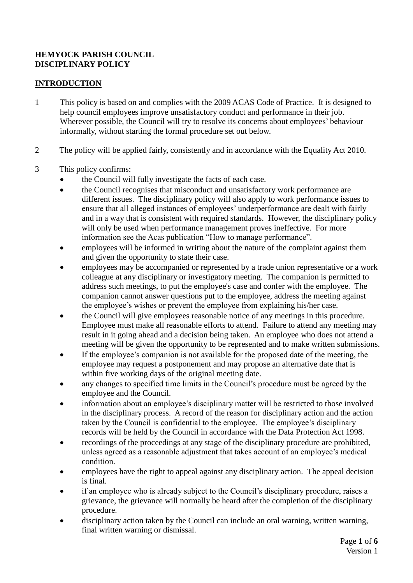### **HEMYOCK PARISH COUNCIL DISCIPLINARY POLICY**

### **INTRODUCTION**

- 1 This policy is based on and complies with the 2009 ACAS Code of Practice. It is designed to help council employees improve unsatisfactory conduct and performance in their job. Wherever possible, the Council will try to resolve its concerns about employees' behaviour informally, without starting the formal procedure set out below.
- 2 The policy will be applied fairly, consistently and in accordance with the Equality Act 2010.
- 3 This policy confirms:
	- the Council will fully investigate the facts of each case.
	- the Council recognises that misconduct and unsatisfactory work performance are different issues. The disciplinary policy will also apply to work performance issues to ensure that all alleged instances of employees' underperformance are dealt with fairly and in a way that is consistent with required standards. However, the disciplinary policy will only be used when performance management proves ineffective. For more information see the Acas publication "How to manage performance".
	- employees will be informed in writing about the nature of the complaint against them and given the opportunity to state their case.
	- employees may be accompanied or represented by a trade union representative or a work colleague at any disciplinary or investigatory meeting. The companion is permitted to address such meetings, to put the employee's case and confer with the employee. The companion cannot answer questions put to the employee, address the meeting against the employee's wishes or prevent the employee from explaining his/her case.
	- the Council will give employees reasonable notice of any meetings in this procedure. Employee must make all reasonable efforts to attend. Failure to attend any meeting may result in it going ahead and a decision being taken. An employee who does not attend a meeting will be given the opportunity to be represented and to make written submissions.
	- If the employee's companion is not available for the proposed date of the meeting, the employee may request a postponement and may propose an alternative date that is within five working days of the original meeting date.
	- any changes to specified time limits in the Council's procedure must be agreed by the employee and the Council.
	- information about an employee's disciplinary matter will be restricted to those involved in the disciplinary process. A record of the reason for disciplinary action and the action taken by the Council is confidential to the employee. The employee's disciplinary records will be held by the Council in accordance with the Data Protection Act 1998.
	- recordings of the proceedings at any stage of the disciplinary procedure are prohibited, unless agreed as a reasonable adjustment that takes account of an employee's medical condition.
	- employees have the right to appeal against any disciplinary action. The appeal decision is final.
	- if an employee who is already subject to the Council's disciplinary procedure, raises a grievance, the grievance will normally be heard after the completion of the disciplinary procedure.
	- disciplinary action taken by the Council can include an oral warning, written warning, final written warning or dismissal.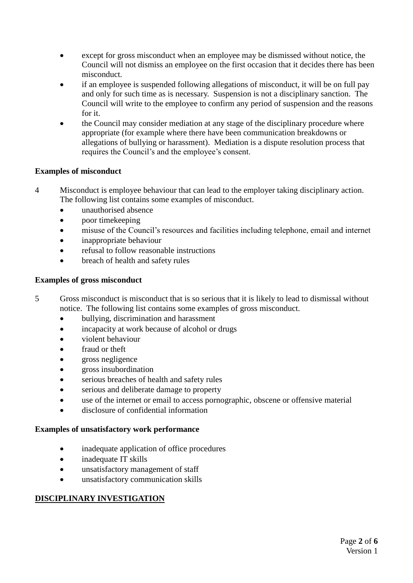- except for gross misconduct when an employee may be dismissed without notice, the Council will not dismiss an employee on the first occasion that it decides there has been misconduct.
- if an employee is suspended following allegations of misconduct, it will be on full pay and only for such time as is necessary. Suspension is not a disciplinary sanction. The Council will write to the employee to confirm any period of suspension and the reasons for it.
- the Council may consider mediation at any stage of the disciplinary procedure where appropriate (for example where there have been communication breakdowns or allegations of bullying or harassment). Mediation is a dispute resolution process that requires the Council's and the employee's consent.

### **Examples of misconduct**

- 4 Misconduct is employee behaviour that can lead to the employer taking disciplinary action. The following list contains some examples of misconduct.
	- unauthorised absence
	- poor timekeeping
	- misuse of the Council's resources and facilities including telephone, email and internet
	- inappropriate behaviour
	- refusal to follow reasonable instructions
	- breach of health and safety rules

### **Examples of gross misconduct**

- 5 Gross misconduct is misconduct that is so serious that it is likely to lead to dismissal without notice. The following list contains some examples of gross misconduct.
	- bullying, discrimination and harassment
	- incapacity at work because of alcohol or drugs
	- violent behaviour
	- fraud or theft
	- gross negligence
	- eross insubordination
	- serious breaches of health and safety rules
	- serious and deliberate damage to property
	- use of the internet or email to access pornographic, obscene or offensive material
	- disclosure of confidential information

### **Examples of unsatisfactory work performance**

- inadequate application of office procedures
- inadequate IT skills
- unsatisfactory management of staff
- unsatisfactory communication skills

## **DISCIPLINARY INVESTIGATION**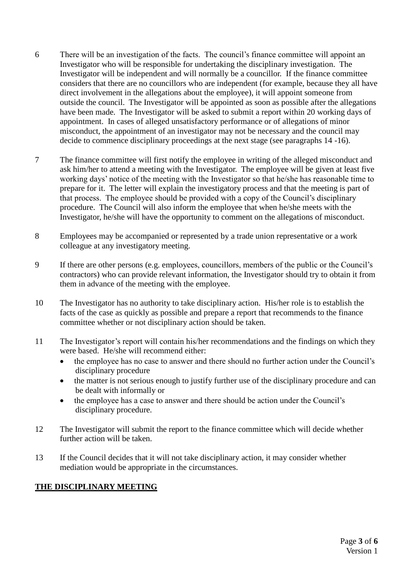- 6 There will be an investigation of the facts. The council's finance committee will appoint an Investigator who will be responsible for undertaking the disciplinary investigation. The Investigator will be independent and will normally be a councillor. If the finance committee considers that there are no councillors who are independent (for example, because they all have direct involvement in the allegations about the employee), it will appoint someone from outside the council. The Investigator will be appointed as soon as possible after the allegations have been made. The Investigator will be asked to submit a report within 20 working days of appointment. In cases of alleged unsatisfactory performance or of allegations of minor misconduct, the appointment of an investigator may not be necessary and the council may decide to commence disciplinary proceedings at the next stage (see paragraphs 14 -16).
- 7 The finance committee will first notify the employee in writing of the alleged misconduct and ask him/her to attend a meeting with the Investigator. The employee will be given at least five working days' notice of the meeting with the Investigator so that he/she has reasonable time to prepare for it. The letter will explain the investigatory process and that the meeting is part of that process. The employee should be provided with a copy of the Council's disciplinary procedure. The Council will also inform the employee that when he/she meets with the Investigator, he/she will have the opportunity to comment on the allegations of misconduct.
- 8 Employees may be accompanied or represented by a trade union representative or a work colleague at any investigatory meeting.
- 9 If there are other persons (e.g. employees, councillors, members of the public or the Council's contractors) who can provide relevant information, the Investigator should try to obtain it from them in advance of the meeting with the employee.
- 10 The Investigator has no authority to take disciplinary action. His/her role is to establish the facts of the case as quickly as possible and prepare a report that recommends to the finance committee whether or not disciplinary action should be taken.
- 11 The Investigator's report will contain his/her recommendations and the findings on which they were based. He/she will recommend either:
	- the employee has no case to answer and there should no further action under the Council's disciplinary procedure
	- the matter is not serious enough to justify further use of the disciplinary procedure and can be dealt with informally or
	- the employee has a case to answer and there should be action under the Council's disciplinary procedure.
- 12 The Investigator will submit the report to the finance committee which will decide whether further action will be taken.
- 13 If the Council decides that it will not take disciplinary action, it may consider whether mediation would be appropriate in the circumstances.

### **THE DISCIPLINARY MEETING**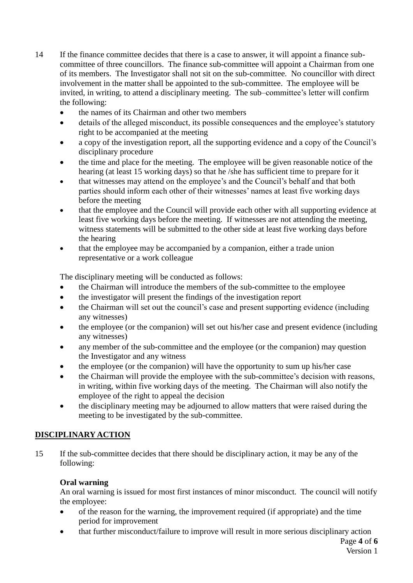- 14 If the finance committee decides that there is a case to answer, it will appoint a finance subcommittee of three councillors. The finance sub-committee will appoint a Chairman from one of its members. The Investigator shall not sit on the sub-committee. No councillor with direct involvement in the matter shall be appointed to the sub-committee. The employee will be invited, in writing, to attend a disciplinary meeting. The sub–committee's letter will confirm the following:
	- the names of its Chairman and other two members
	- details of the alleged misconduct, its possible consequences and the employee's statutory right to be accompanied at the meeting
	- a copy of the investigation report, all the supporting evidence and a copy of the Council's disciplinary procedure
	- the time and place for the meeting. The employee will be given reasonable notice of the hearing (at least 15 working days) so that he /she has sufficient time to prepare for it
	- that witnesses may attend on the employee's and the Council's behalf and that both parties should inform each other of their witnesses' names at least five working days before the meeting
	- that the employee and the Council will provide each other with all supporting evidence at least five working days before the meeting. If witnesses are not attending the meeting, witness statements will be submitted to the other side at least five working days before the hearing
	- that the employee may be accompanied by a companion, either a trade union representative or a work colleague

The disciplinary meeting will be conducted as follows:

- the Chairman will introduce the members of the sub-committee to the employee
- the investigator will present the findings of the investigation report
- the Chairman will set out the council's case and present supporting evidence (including any witnesses)
- the employee (or the companion) will set out his/her case and present evidence (including any witnesses)
- any member of the sub-committee and the employee (or the companion) may question the Investigator and any witness
- the employee (or the companion) will have the opportunity to sum up his/her case
- the Chairman will provide the employee with the sub-committee's decision with reasons, in writing, within five working days of the meeting. The Chairman will also notify the employee of the right to appeal the decision
- the disciplinary meeting may be adjourned to allow matters that were raised during the meeting to be investigated by the sub-committee.

## **DISCIPLINARY ACTION**

15 If the sub-committee decides that there should be disciplinary action, it may be any of the following:

### **Oral warning**

An oral warning is issued for most first instances of minor misconduct. The council will notify the employee:

- of the reason for the warning, the improvement required (if appropriate) and the time period for improvement
- that further misconduct/failure to improve will result in more serious disciplinary action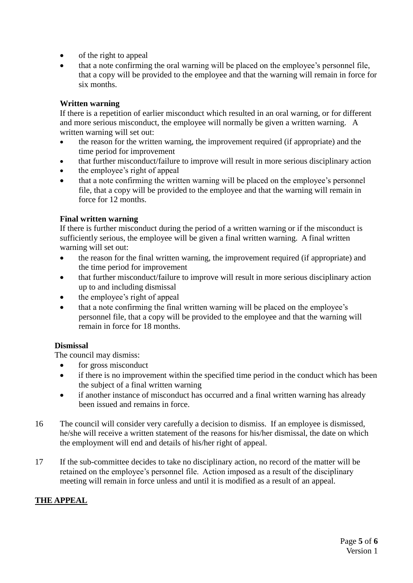- of the right to appeal
- that a note confirming the oral warning will be placed on the employee's personnel file, that a copy will be provided to the employee and that the warning will remain in force for six months.

### **Written warning**

If there is a repetition of earlier misconduct which resulted in an oral warning, or for different and more serious misconduct, the employee will normally be given a written warning. A written warning will set out:

- the reason for the written warning, the improvement required (if appropriate) and the time period for improvement
- that further misconduct/failure to improve will result in more serious disciplinary action
- the employee's right of appeal
- that a note confirming the written warning will be placed on the employee's personnel file, that a copy will be provided to the employee and that the warning will remain in force for 12 months.

### **Final written warning**

If there is further misconduct during the period of a written warning or if the misconduct is sufficiently serious, the employee will be given a final written warning. A final written warning will set out:

- the reason for the final written warning, the improvement required (if appropriate) and the time period for improvement
- that further misconduct/failure to improve will result in more serious disciplinary action up to and including dismissal
- the employee's right of appeal
- that a note confirming the final written warning will be placed on the employee's personnel file, that a copy will be provided to the employee and that the warning will remain in force for 18 months.

## **Dismissal**

The council may dismiss:

- for gross misconduct
- if there is no improvement within the specified time period in the conduct which has been the subject of a final written warning
- if another instance of misconduct has occurred and a final written warning has already been issued and remains in force.
- 16 The council will consider very carefully a decision to dismiss. If an employee is dismissed, he/she will receive a written statement of the reasons for his/her dismissal, the date on which the employment will end and details of his/her right of appeal.
- 17 If the sub-committee decides to take no disciplinary action, no record of the matter will be retained on the employee's personnel file. Action imposed as a result of the disciplinary meeting will remain in force unless and until it is modified as a result of an appeal.

# **THE APPEAL**